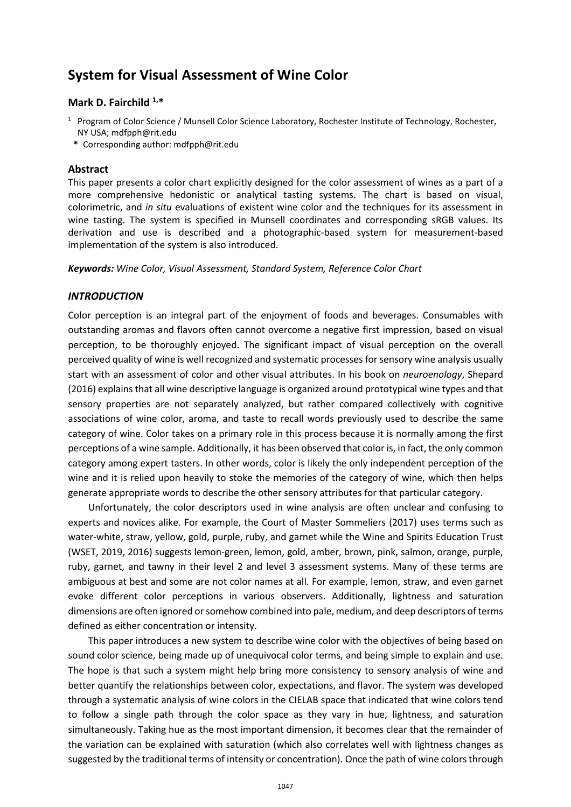# **System for Visual Assessment of Wine Color**

## **Mark D. Fairchild 1,\***

- <sup>1</sup> Program of Color Science / Munsell Color Science Laboratory, Rochester Institute of Technology, Rochester, NY USA; mdfpph@rit.edu
- **\*** Corresponding author: mdfpph@rit.edu

## **Abstract**

This paper presents a color chart explicitly designed for the color assessment of wines as a part of a more comprehensive hedonistic or analytical tasting systems. The chart is based on visual, colorimetric, and *in situ* evaluations of existent wine color and the techniques for its assessment in wine tasting. The system is specified in Munsell coordinates and corresponding sRGB values. Its derivation and use is described and a photographic-based system for measurement-based implementation of the system is also introduced.

*Keywords: Wine Color, Visual Assessment, Standard System, Reference Color Chart*

#### *INTRODUCTION*

Color perception is an integral part of the enjoyment of foods and beverages. Consumables with outstanding aromas and flavors often cannot overcome a negative first impression, based on visual perception, to be thoroughly enjoyed. The significant impact of visual perception on the overall perceived quality of wine is well recognized and systematic processes for sensory wine analysis usually start with an assessment of color and other visual attributes. In his book on *neuroenology*, Shepard (2016) explains that all wine descriptive language is organized around prototypical wine types and that sensory properties are not separately analyzed, but rather compared collectively with cognitive associations of wine color, aroma, and taste to recall words previously used to describe the same category of wine. Color takes on a primary role in this process because it is normally among the first perceptions of a wine sample. Additionally, it has been observed that color is, in fact, the only common category among expert tasters. In other words, color is likely the only independent perception of the wine and it is relied upon heavily to stoke the memories of the category of wine, which then helps generate appropriate words to describe the other sensory attributes for that particular category.

Unfortunately, the color descriptors used in wine analysis are often unclear and confusing to experts and novices alike. For example, the Court of Master Sommeliers (2017) uses terms such as water-white, straw, yellow, gold, purple, ruby, and garnet while the Wine and Spirits Education Trust (WSET, 2019, 2016) suggests lemon-green, lemon, gold, amber, brown, pink, salmon, orange, purple, ruby, garnet, and tawny in their level 2 and level 3 assessment systems. Many of these terms are ambiguous at best and some are not color names at all. For example, lemon, straw, and even garnet evoke different color perceptions in various observers. Additionally, lightness and saturation dimensions are often ignored orsomehow combined into pale, medium, and deep descriptors of terms defined as either concentration or intensity.

This paper introduces a new system to describe wine color with the objectives of being based on sound color science, being made up of unequivocal color terms, and being simple to explain and use. The hope is that such a system might help bring more consistency to sensory analysis of wine and better quantify the relationships between color, expectations, and flavor. The system was developed through a systematic analysis of wine colors in the CIELAB space that indicated that wine colors tend to follow a single path through the color space as they vary in hue, lightness, and saturation simultaneously. Taking hue as the most important dimension, it becomes clear that the remainder of the variation can be explained with saturation (which also correlates well with lightness changes as suggested by the traditional terms of intensity or concentration). Once the path of wine colors through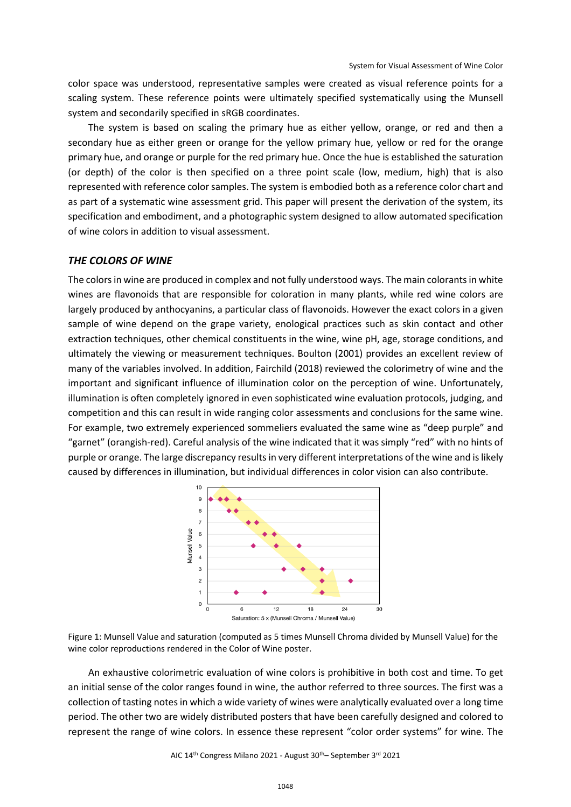color space was understood, representative samples were created as visual reference points for a scaling system. These reference points were ultimately specified systematically using the Munsell system and secondarily specified in sRGB coordinates.

The system is based on scaling the primary hue as either yellow, orange, or red and then a secondary hue as either green or orange for the yellow primary hue, yellow or red for the orange primary hue, and orange or purple for the red primary hue. Once the hue is established the saturation (or depth) of the color is then specified on a three point scale (low, medium, high) that is also represented with reference color samples. The system is embodied both as a reference color chart and as part of a systematic wine assessment grid. This paper will present the derivation of the system, its specification and embodiment, and a photographic system designed to allow automated specification of wine colors in addition to visual assessment.

#### *THE COLORS OF WINE*

The colors in wine are produced in complex and not fully understood ways. The main colorants in white wines are flavonoids that are responsible for coloration in many plants, while red wine colors are largely produced by anthocyanins, a particular class of flavonoids. However the exact colors in a given sample of wine depend on the grape variety, enological practices such as skin contact and other extraction techniques, other chemical constituents in the wine, wine pH, age, storage conditions, and ultimately the viewing or measurement techniques. Boulton (2001) provides an excellent review of many of the variables involved. In addition, Fairchild (2018) reviewed the colorimetry of wine and the important and significant influence of illumination color on the perception of wine. Unfortunately, illumination is often completely ignored in even sophisticated wine evaluation protocols, judging, and competition and this can result in wide ranging color assessments and conclusions for the same wine. For example, two extremely experienced sommeliers evaluated the same wine as "deep purple" and "garnet" (orangish-red). Careful analysis of the wine indicated that it was simply "red" with no hints of purple or orange. The large discrepancy resultsin very different interpretations ofthe wine and islikely caused by differences in illumination, but individual differences in color vision can also contribute.



Figure 1: Munsell Value and saturation (computed as 5 times Munsell Chroma divided by Munsell Value) for the wine color reproductions rendered in the Color of Wine poster.

An exhaustive colorimetric evaluation of wine colors is prohibitive in both cost and time. To get an initial sense of the color ranges found in wine, the author referred to three sources. The first was a collection of tasting notesin which a wide variety of wines were analytically evaluated over a long time period. The other two are widely distributed posters that have been carefully designed and colored to represent the range of wine colors. In essence these represent "color order systems" for wine. The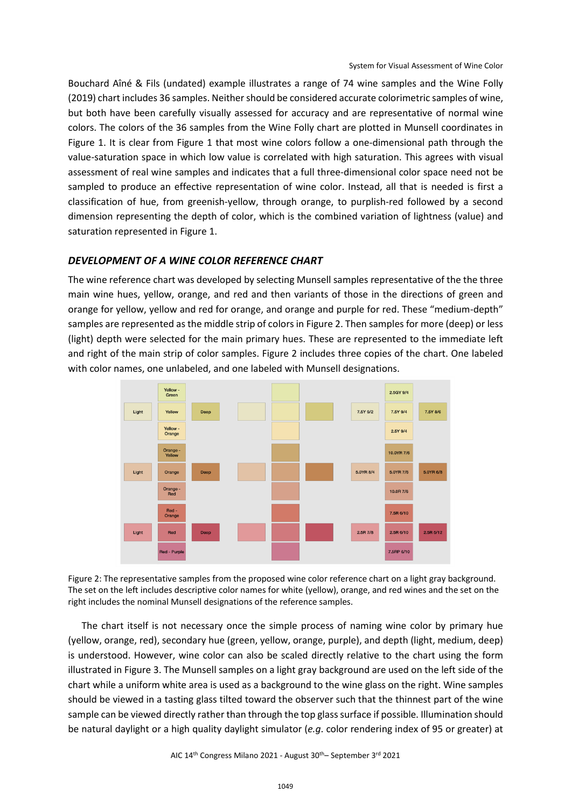Bouchard Aîné & Fils (undated) example illustrates a range of 74 wine samples and the Wine Folly (2019) chart includes 36 samples. Neither should be considered accurate colorimetric samples of wine, but both have been carefully visually assessed for accuracy and are representative of normal wine colors. The colors of the 36 samples from the Wine Folly chart are plotted in Munsell coordinates in Figure 1. It is clear from Figure 1 that most wine colors follow a one-dimensional path through the value-saturation space in which low value is correlated with high saturation. This agrees with visual assessment of real wine samples and indicates that a full three-dimensional color space need not be sampled to produce an effective representation of wine color. Instead, all that is needed is first a classification of hue, from greenish-yellow, through orange, to purplish-red followed by a second dimension representing the depth of color, which is the combined variation of lightness (value) and saturation represented in Figure 1.

#### *DEVELOPMENT OF A WINE COLOR REFERENCE CHART*

The wine reference chart was developed by selecting Munsell samples representative of the the three main wine hues, yellow, orange, and red and then variants of those in the directions of green and orange for yellow, yellow and red for orange, and orange and purple for red. These "medium-depth" samples are represented as the middle strip of colors in Figure 2. Then samples for more (deep) or less (light) depth were selected for the main primary hues. These are represented to the immediate left and right of the main strip of color samples. Figure 2 includes three copies of the chart. One labeled with color names, one unlabeled, and one labeled with Munsell designations.



Figure 2: The representative samples from the proposed wine color reference chart on a light gray background. The set on the left includes descriptive color names for white (yellow), orange, and red wines and the set on the right includes the nominal Munsell designations of the reference samples.

The chart itself is not necessary once the simple process of naming wine color by primary hue (yellow, orange, red), secondary hue (green, yellow, orange, purple), and depth (light, medium, deep) is understood. However, wine color can also be scaled directly relative to the chart using the form illustrated in Figure 3. The Munsell samples on a light gray background are used on the left side of the chart while a uniform white area is used as a background to the wine glass on the right. Wine samples should be viewed in a tasting glass tilted toward the observer such that the thinnest part of the wine sample can be viewed directly rather than through the top glass surface if possible. Illumination should be natural daylight or a high quality daylight simulator (*e.g*. color rendering index of 95 or greater) at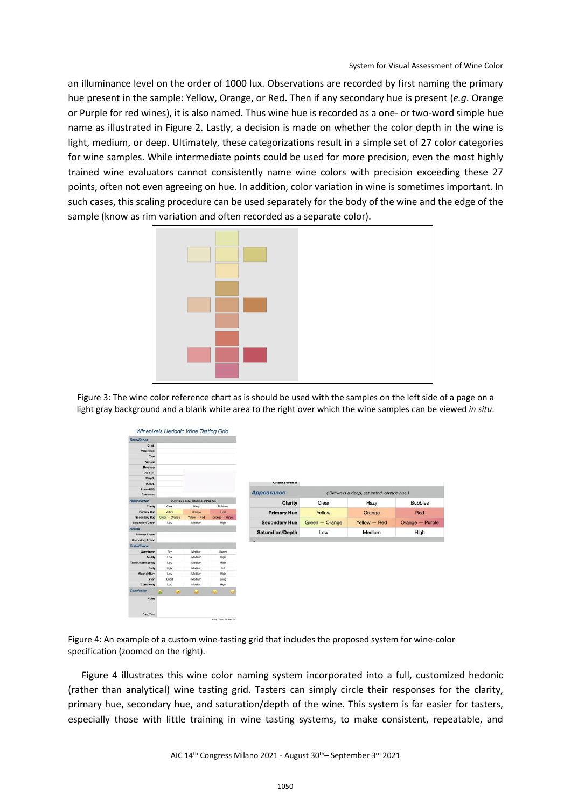an illuminance level on the order of 1000 lux. Observations are recorded by first naming the primary hue present in the sample: Yellow, Orange, or Red. Then if any secondary hue is present (*e.g*. Orange or Purple for red wines), it is also named. Thus wine hue is recorded as a one- or two-word simple hue name as illustrated in Figure 2. Lastly, a decision is made on whether the color depth in the wine is light, medium, or deep. Ultimately, these categorizations result in a simple set of 27 color categories for wine samples. While intermediate points could be used for more precision, even the most highly trained wine evaluators cannot consistently name wine colors with precision exceeding these 27 points, often not even agreeing on hue. In addition, color variation in wine is sometimes important. In such cases, this scaling procedure can be used separately for the body of the wine and the edge of the sample (know as rim variation and often recorded as a separate color).



Figure 3: The wine color reference chart as is should be used with the samples on the left side of a page on a light gray background and a blank white area to the right over which the wine samples can be viewed *in situ*.

| <b>Data/Specs</b>      |                                            |              |                        |                         |
|------------------------|--------------------------------------------|--------------|------------------------|-------------------------|
| Origin                 |                                            |              |                        |                         |
| Variety(ies)           |                                            |              |                        |                         |
| Type                   |                                            |              |                        |                         |
| Vintage                |                                            |              |                        |                         |
| Producer               |                                            |              |                        |                         |
| ABV (%)                |                                            |              |                        |                         |
| $RS(\alpha/L)$         |                                            |              |                        |                         |
| TA (a/L)               |                                            |              |                        | <b>Grassward</b>        |
| Price (US\$)           |                                            |              |                        | <b>Appearance</b>       |
| Glassware              |                                            |              |                        |                         |
| Appearance             | ("Brown is a deep, saturated, orange hue.) |              |                        | <b>Clarity</b>          |
| Clarity                | Clear                                      | Hazy         | <b>Rubbles</b>         |                         |
| <b>Primary Hue</b>     | Yellow                                     | Orange       | Red                    | <b>Primary Hue</b>      |
| <b>Secondary Hue</b>   | Green - Orange                             | Yollow - Red | <b>Orange - Purple</b> |                         |
| Saturation/Depth       | Low                                        | Medium       | High                   | <b>Secondary Hue</b>    |
| Aroma                  |                                            |              |                        |                         |
| Primary Aroma          |                                            |              |                        | <b>Saturation/Depth</b> |
| <b>Secondary Aroma</b> |                                            |              |                        |                         |
| <b>Taste/Flavor</b>    |                                            |              |                        |                         |
| Sweetness              | Dry                                        | Medium       | Sweet                  |                         |
| <b>Acidity</b>         | Low                                        | Medium       | High                   |                         |
| Tannin/Astringency     | Low                                        | Medium       | High                   |                         |
| Body                   | Light                                      | Medium       | Full                   |                         |
| Alcohol/Burn           | Low                                        | Medium       | High                   |                         |
| Finish                 | Short                                      | Medium       | Long                   |                         |
| <b>Complexity</b>      | Low                                        | Medium       | High                   |                         |
| Conclusion             | Θ                                          | ۳            | ك                      | e                       |
| <b>Notes</b>           |                                            |              |                        |                         |
| Date/Time              |                                            |              |                        |                         |

| <b>Grassward</b>        |                                            |              |                 |  |  |
|-------------------------|--------------------------------------------|--------------|-----------------|--|--|
| <b>Appearance</b>       | ("Brown is a deep, saturated, orange hue.) |              |                 |  |  |
| <b>Clarity</b>          | Clear                                      | Hazy         | <b>Bubbles</b>  |  |  |
| <b>Primary Hue</b>      | Yellow                                     | Orange       | Red             |  |  |
| <b>Secondary Hue</b>    | Green - Orange                             | Yellow - Red | Orange - Purple |  |  |
| <b>Saturation/Depth</b> | Low                                        | Medium       | High            |  |  |

Figure 4: An example of a custom wine-tasting grid that includes the proposed system for wine-color specification (zoomed on the right).

Figure 4 illustrates this wine color naming system incorporated into a full, customized hedonic (rather than analytical) wine tasting grid. Tasters can simply circle their responses for the clarity, primary hue, secondary hue, and saturation/depth of the wine. This system is far easier for tasters, especially those with little training in wine tasting systems, to make consistent, repeatable, and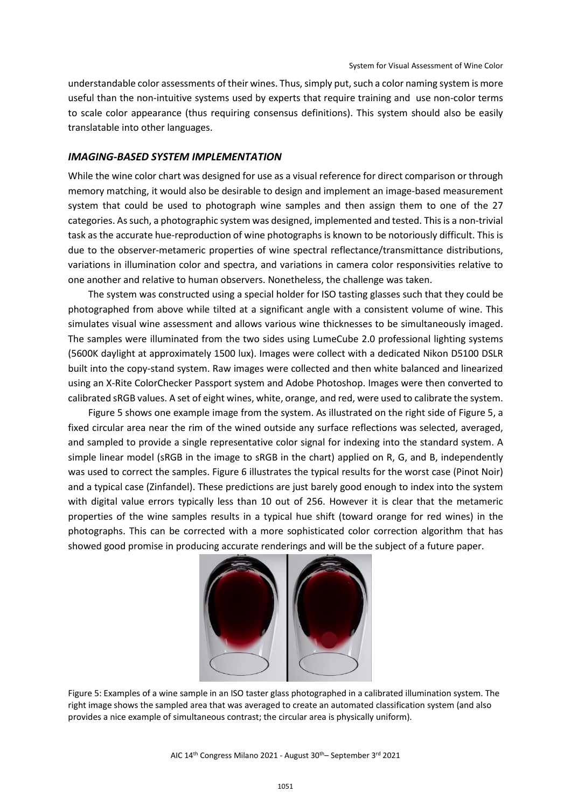understandable color assessments of their wines. Thus, simply put, such a color naming system is more useful than the non-intuitive systems used by experts that require training and use non-color terms to scale color appearance (thus requiring consensus definitions). This system should also be easily translatable into other languages.

#### *IMAGING-BASED SYSTEM IMPLEMENTATION*

While the wine color chart was designed for use as a visual reference for direct comparison or through memory matching, it would also be desirable to design and implement an image-based measurement system that could be used to photograph wine samples and then assign them to one of the 27 categories. As such, a photographic system was designed, implemented and tested. This is a non-trivial task as the accurate hue-reproduction of wine photographs is known to be notoriously difficult. This is due to the observer-metameric properties of wine spectral reflectance/transmittance distributions, variations in illumination color and spectra, and variations in camera color responsivities relative to one another and relative to human observers. Nonetheless, the challenge was taken.

The system was constructed using a special holder for ISO tasting glasses such that they could be photographed from above while tilted at a significant angle with a consistent volume of wine. This simulates visual wine assessment and allows various wine thicknesses to be simultaneously imaged. The samples were illuminated from the two sides using LumeCube 2.0 professional lighting systems (5600K daylight at approximately 1500 lux). Images were collect with a dedicated Nikon D5100 DSLR built into the copy-stand system. Raw images were collected and then white balanced and linearized using an X-Rite ColorChecker Passport system and Adobe Photoshop. Images were then converted to calibrated sRGB values. A set of eight wines, white, orange, and red, were used to calibrate the system.

Figure 5 shows one example image from the system. As illustrated on the right side of Figure 5, a fixed circular area near the rim of the wined outside any surface reflections was selected, averaged, and sampled to provide a single representative color signal for indexing into the standard system. A simple linear model (sRGB in the image to sRGB in the chart) applied on R, G, and B, independently was used to correct the samples. Figure 6 illustrates the typical results for the worst case (Pinot Noir) and a typical case (Zinfandel). These predictions are just barely good enough to index into the system with digital value errors typically less than 10 out of 256. However it is clear that the metameric properties of the wine samples results in a typical hue shift (toward orange for red wines) in the photographs. This can be corrected with a more sophisticated color correction algorithm that has showed good promise in producing accurate renderings and will be the subject of a future paper.



Figure 5: Examples of a wine sample in an ISO taster glass photographed in a calibrated illumination system. The right image shows the sampled area that was averaged to create an automated classification system (and also provides a nice example of simultaneous contrast; the circular area is physically uniform).